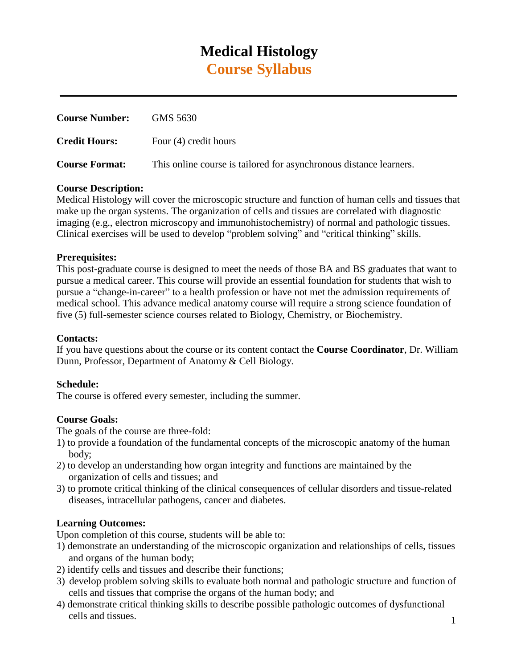# **Medical Histology Course Syllabus**

| <b>Course Number:</b> | GMS 5630                                                           |
|-----------------------|--------------------------------------------------------------------|
| <b>Credit Hours:</b>  | Four (4) credit hours                                              |
| <b>Course Format:</b> | This online course is tailored for asynchronous distance learners. |

### **Course Description:**

Medical Histology will cover the microscopic structure and function of human cells and tissues that make up the organ systems. The organization of cells and tissues are correlated with diagnostic imaging (e.g., electron microscopy and immunohistochemistry) of normal and pathologic tissues. Clinical exercises will be used to develop "problem solving" and "critical thinking" skills.

### **Prerequisites:**

This post-graduate course is designed to meet the needs of those BA and BS graduates that want to pursue a medical career. This course will provide an essential foundation for students that wish to pursue a "change-in-career" to a health profession or have not met the admission requirements of medical school. This advance medical anatomy course will require a strong science foundation of five (5) full-semester science courses related to Biology, Chemistry, or Biochemistry.

### **Contacts:**

If you have questions about the course or its content contact the **Course Coordinator**, Dr. William Dunn, Professor, Department of Anatomy & Cell Biology.

### **Schedule:**

The course is offered every semester, including the summer.

### **Course Goals:**

The goals of the course are three-fold:

- 1) to provide a foundation of the fundamental concepts of the microscopic anatomy of the human body;
- 2) to develop an understanding how organ integrity and functions are maintained by the organization of cells and tissues; and
- 3) to promote critical thinking of the clinical consequences of cellular disorders and tissue-related diseases, intracellular pathogens, cancer and diabetes.

### **Learning Outcomes:**

Upon completion of this course, students will be able to:

- 1) demonstrate an understanding of the microscopic organization and relationships of cells, tissues and organs of the human body;
- 2) identify cells and tissues and describe their functions;
- 3) develop problem solving skills to evaluate both normal and pathologic structure and function of cells and tissues that comprise the organs of the human body; and
- 4) demonstrate critical thinking skills to describe possible pathologic outcomes of dysfunctional cells and tissues.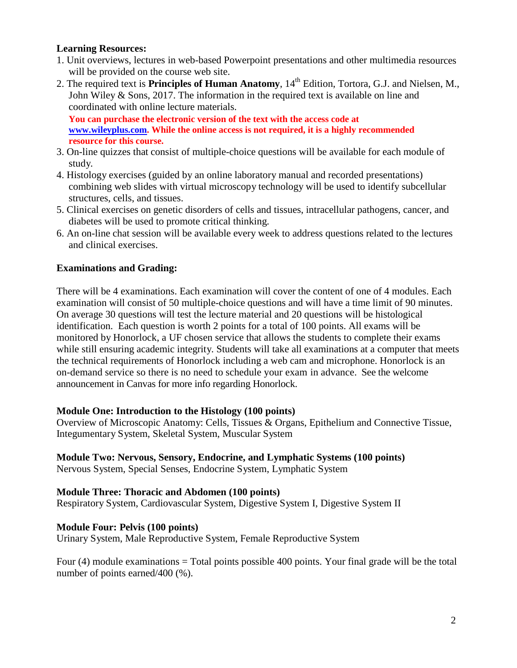### **Learning Resources:**

- 1. Unit overviews, lectures in web-based Powerpoint presentations and other multimedia resources will be provided on the course web site.
- 2. The required text is **Principles of Human Anatomy**,  $14<sup>th</sup>$  Edition, Tortora, G.J. and Nielsen, M., John Wiley & Sons, 2017. The information in the required text is available on line and coordinated with online lecture materials.

**You can purchase the electronic version of the text with the access code at [www.wileyplus.com.](http://www.wileyplus.com/) While the online access is not required, it is a highly recommended resource for this course.**

- 3. On-line quizzes that consist of multiple-choice questions will be available for each module of study.
- 4. Histology exercises (guided by an online laboratory manual and recorded presentations) combining web slides with virtual microscopy technology will be used to identify subcellular structures, cells, and tissues.
- 5. Clinical exercises on genetic disorders of cells and tissues, intracellular pathogens, cancer, and diabetes will be used to promote critical thinking.
- 6. An on-line chat session will be available every week to address questions related to the lectures and clinical exercises.

### **Examinations and Grading:**

There will be 4 examinations. Each examination will cover the content of one of 4 modules. Each examination will consist of 50 multiple-choice questions and will have a time limit of 90 minutes. On average 30 questions will test the lecture material and 20 questions will be histological identification. Each question is worth 2 points for a total of 100 points. All exams will be monitored by Honorlock, a UF chosen service that allows the students to complete their exams while still ensuring academic integrity. Students will take all examinations at a computer that meets the technical requirements of Honorlock including a web cam and microphone. Honorlock is an on-demand service so there is no need to schedule your exam in advance. See the welcome announcement in Canvas for more info regarding Honorlock.

### **Module One: Introduction to the Histology (100 points)**

Overview of Microscopic Anatomy: Cells, Tissues & Organs, Epithelium and Connective Tissue, Integumentary System, Skeletal System, Muscular System

### **Module Two: Nervous, Sensory, Endocrine, and Lymphatic Systems (100 points)**

Nervous System, Special Senses, Endocrine System, Lymphatic System

### **Module Three: Thoracic and Abdomen (100 points)**

Respiratory System, Cardiovascular System, Digestive System I, Digestive System II

### **Module Four: Pelvis (100 points)**

Urinary System, Male Reproductive System, Female Reproductive System

Four  $(4)$  module examinations = Total points possible 400 points. Your final grade will be the total number of points earned/400 (%).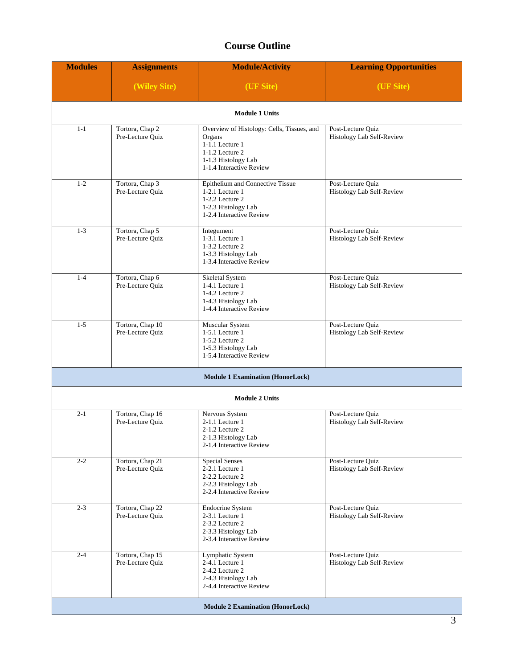# **Course Outline**

| <b>Modules</b> | <b>Assignments</b>                   | <b>Module/Activity</b>                                                                                                                        | <b>Learning Opportunities</b>                  |  |  |  |
|----------------|--------------------------------------|-----------------------------------------------------------------------------------------------------------------------------------------------|------------------------------------------------|--|--|--|
|                | (Wiley Site)                         | (UF Site)                                                                                                                                     | (UF Site)                                      |  |  |  |
|                | <b>Module 1 Units</b>                |                                                                                                                                               |                                                |  |  |  |
| $1 - 1$        | Tortora, Chap 2<br>Pre-Lecture Quiz  | Overview of Histology: Cells, Tissues, and<br>Organs<br>1-1.1 Lecture 1<br>1-1.2 Lecture 2<br>1-1.3 Histology Lab<br>1-1.4 Interactive Review | Post-Lecture Quiz<br>Histology Lab Self-Review |  |  |  |
| $1 - 2$        | Tortora, Chap 3<br>Pre-Lecture Quiz  | Epithelium and Connective Tissue<br>$1-2.1$ Lecture $1$<br>1-2.2 Lecture 2<br>1-2.3 Histology Lab<br>1-2.4 Interactive Review                 | Post-Lecture Quiz<br>Histology Lab Self-Review |  |  |  |
| $1 - 3$        | Tortora, Chap 5<br>Pre-Lecture Quiz  | Integument<br>1-3.1 Lecture 1<br>1-3.2 Lecture 2<br>1-3.3 Histology Lab<br>1-3.4 Interactive Review                                           | Post-Lecture Quiz<br>Histology Lab Self-Review |  |  |  |
| $1 - 4$        | Tortora, Chap 6<br>Pre-Lecture Quiz  | Skeletal System<br>1-4.1 Lecture 1<br>1-4.2 Lecture 2<br>1-4.3 Histology Lab<br>1-4.4 Interactive Review                                      | Post-Lecture Quiz<br>Histology Lab Self-Review |  |  |  |
| $1 - 5$        | Tortora, Chap 10<br>Pre-Lecture Quiz | Muscular System<br>1-5.1 Lecture 1<br>1-5.2 Lecture 2<br>1-5.3 Histology Lab<br>1-5.4 Interactive Review                                      | Post-Lecture Quiz<br>Histology Lab Self-Review |  |  |  |
|                |                                      | <b>Module 1 Examination (HonorLock)</b>                                                                                                       |                                                |  |  |  |
|                |                                      | <b>Module 2 Units</b>                                                                                                                         |                                                |  |  |  |
| $2 - 1$        | Tortora, Chap 16<br>Pre-Lecture Quiz | Nervous System<br>2-1.1 Lecture 1<br>2-1.2 Lecture 2<br>2-1.3 Histology Lab<br>2-1.4 Interactive Review                                       | Post-Lecture Quiz<br>Histology Lab Self-Review |  |  |  |
| $2 - 2$        | Tortora, Chap 21<br>Pre-Lecture Ouiz | <b>Special Senses</b><br>$2-2.1$ Lecture $1$<br>2-2.2 Lecture 2<br>2-2.3 Histology Lab<br>2-2.4 Interactive Review                            | Post-Lecture Quiz<br>Histology Lab Self-Review |  |  |  |
| $2 - 3$        | Tortora, Chap 22<br>Pre-Lecture Quiz | <b>Endocrine System</b><br>2-3.1 Lecture 1<br>2-3.2 Lecture 2<br>2-3.3 Histology Lab<br>2-3.4 Interactive Review                              | Post-Lecture Quiz<br>Histology Lab Self-Review |  |  |  |
| $2 - 4$        | Tortora, Chap 15<br>Pre-Lecture Quiz | Lymphatic System<br>2-4.1 Lecture 1<br>2-4.2 Lecture 2<br>2-4.3 Histology Lab<br>2-4.4 Interactive Review                                     | Post-Lecture Quiz<br>Histology Lab Self-Review |  |  |  |
|                |                                      | <b>Module 2 Examination (HonorLock)</b>                                                                                                       |                                                |  |  |  |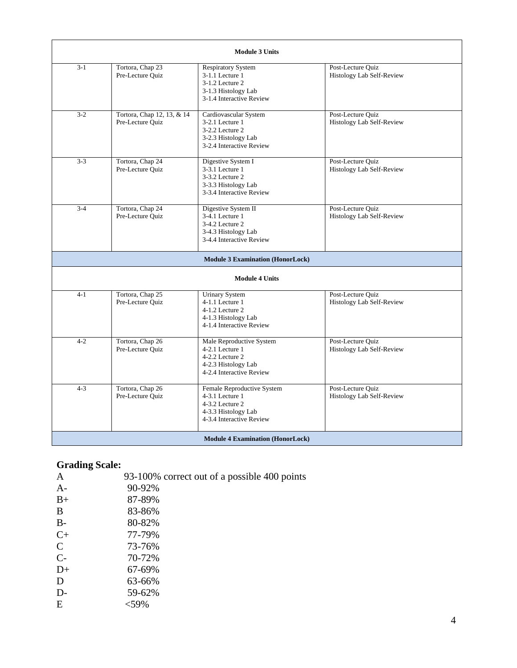|         |                                                | <b>Module 3 Units</b>                                                                                                 |                                                |  |  |
|---------|------------------------------------------------|-----------------------------------------------------------------------------------------------------------------------|------------------------------------------------|--|--|
| $3 - 1$ | Tortora, Chap 23<br>Pre-Lecture Quiz           | <b>Respiratory System</b><br>3-1.1 Lecture 1<br>3-1.2 Lecture 2<br>3-1.3 Histology Lab<br>3-1.4 Interactive Review    | Post-Lecture Quiz<br>Histology Lab Self-Review |  |  |
| $3-2$   | Tortora, Chap 12, 13, & 14<br>Pre-Lecture Quiz | Cardiovascular System<br>3-2.1 Lecture 1<br>$3-2.2$ Lecture 2<br>3-2.3 Histology Lab<br>3-2.4 Interactive Review      | Post-Lecture Quiz<br>Histology Lab Self-Review |  |  |
| $3 - 3$ | Tortora, Chap 24<br>Pre-Lecture Quiz           | Digestive System I<br>3-3.1 Lecture 1<br>3-3.2 Lecture 2<br>3-3.3 Histology Lab<br>3-3.4 Interactive Review           | Post-Lecture Quiz<br>Histology Lab Self-Review |  |  |
| $3-4$   | Tortora, Chap 24<br>Pre-Lecture Quiz           | Digestive System II<br>3-4.1 Lecture 1<br>3-4.2 Lecture 2<br>3-4.3 Histology Lab<br>3-4.4 Interactive Review          | Post-Lecture Quiz<br>Histology Lab Self-Review |  |  |
|         |                                                | <b>Module 3 Examination (HonorLock)</b>                                                                               |                                                |  |  |
|         |                                                | <b>Module 4 Units</b>                                                                                                 |                                                |  |  |
| $4 - 1$ | Tortora, Chap 25<br>Pre-Lecture Quiz           | <b>Urinary System</b><br>$4-1.1$ Lecture $1$<br>4-1.2 Lecture 2<br>4-1.3 Histology Lab<br>4-1.4 Interactive Review    | Post-Lecture Quiz<br>Histology Lab Self-Review |  |  |
| $4 - 2$ | Tortora, Chap 26<br>Pre-Lecture Ouiz           | Male Reproductive System<br>$4-2.1$ Lecture $1$<br>4-2.2 Lecture 2<br>4-2.3 Histology Lab<br>4-2.4 Interactive Review | Post-Lecture Quiz<br>Histology Lab Self-Review |  |  |
| $4 - 3$ | Tortora, Chap 26<br>Pre-Lecture Quiz           | Female Reproductive System<br>4-3.1 Lecture 1<br>4-3.2 Lecture 2<br>4-3.3 Histology Lab<br>4-3.4 Interactive Review   | Post-Lecture Ouiz<br>Histology Lab Self-Review |  |  |
|         | <b>Module 4 Examination (HonorLock)</b>        |                                                                                                                       |                                                |  |  |

# **Grading Scale:**

| A             | 93-100% correct out of a possible 400 points |
|---------------|----------------------------------------------|
| $A-$          | 90-92%                                       |
| $B+$          | 87-89%                                       |
| B             | 83-86%                                       |
| $B-$          | 80-82%                                       |
| $C+$          | 77-79%                                       |
| $\mathcal{C}$ | 73-76%                                       |
| $C-$          | 70-72%                                       |
| $D+$          | 67-69%                                       |
| D             | 63-66%                                       |
| $D-$          | 59-62%                                       |
| Ε             | <59%                                         |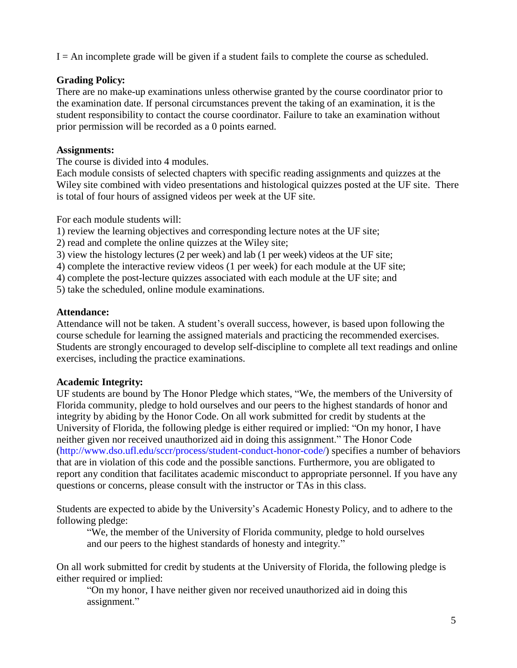$I = An incomplete grade will be given if a student fails to complete the course as scheduled.$ 

# **Grading Policy:**

There are no make-up examinations unless otherwise granted by the course coordinator prior to the examination date. If personal circumstances prevent the taking of an examination, it is the student responsibility to contact the course coordinator. Failure to take an examination without prior permission will be recorded as a 0 points earned.

## **Assignments:**

The course is divided into 4 modules.

Each module consists of selected chapters with specific reading assignments and quizzes at the Wiley site combined with video presentations and histological quizzes posted at the UF site. There is total of four hours of assigned videos per week at the UF site.

For each module students will:

1) review the learning objectives and corresponding lecture notes at the UF site;

- 2) read and complete the online quizzes at the Wiley site;
- 3) view the histology lectures (2 per week) and lab (1 per week) videos at the UF site;
- 4) complete the interactive review videos (1 per week) for each module at the UF site;
- 4) complete the post-lecture quizzes associated with each module at the UF site; and
- 5) take the scheduled, online module examinations.

## **Attendance:**

Attendance will not be taken. A student's overall success, however, is based upon following the course schedule for learning the assigned materials and practicing the recommended exercises. Students are strongly encouraged to develop self-discipline to complete all text readings and online exercises, including the practice examinations.

# **Academic Integrity:**

UF students are bound by The Honor Pledge which states, "We, the members of the University of Florida community, pledge to hold ourselves and our peers to the highest standards of honor and integrity by abiding by the Honor Code. On all work submitted for credit by students at the University of Florida, the following pledge is either required or implied: "On my honor, I have neither given nor received unauthorized aid in doing this assignment." The Honor Code [\(http://www.dso.ufl.edu/sccr/process/student-conduct-honor-code/\)](http://www.dso.ufl.edu/sccr/process/student-conduct-honor-code/)) specifies a number of behaviors that are in violation of this code and the possible sanctions. Furthermore, you are obligated to report any condition that facilitates academic misconduct to appropriate personnel. If you have any questions or concerns, please consult with the instructor or TAs in this class.

Students are expected to abide by the University's Academic Honesty Policy, and to adhere to the following pledge:

"We, the member of the University of Florida community, pledge to hold ourselves and our peers to the highest standards of honesty and integrity."

On all work submitted for credit by students at the University of Florida, the following pledge is either required or implied:

"On my honor, I have neither given nor received unauthorized aid in doing this assignment."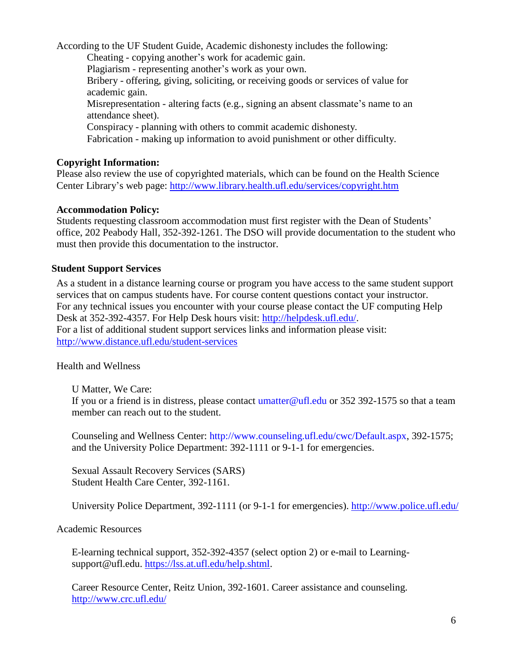According to the UF Student Guide, Academic dishonesty includes the following: Cheating - copying another's work for academic gain. Plagiarism - representing another's work as your own. Bribery - offering, giving, soliciting, or receiving goods or services of value for academic gain. Misrepresentation - altering facts (e.g., signing an absent classmate's name to an attendance sheet). Conspiracy - planning with others to commit academic dishonesty. Fabrication - making up information to avoid punishment or other difficulty.

### **Copyright Information:**

Please also review the use of copyrighted materials, which can be found on the Health Science Center Library's web page:<http://www.library.health.ufl.edu/services/copyright.htm>

### **Accommodation Policy:**

Students requesting classroom accommodation must first register with the Dean of Students' office, 202 Peabody Hall, 352-392-1261. The DSO will provide documentation to the student who must then provide this documentation to the instructor.

### **Student Support Services**

As a student in a distance learning course or program you have access to the same student support services that on campus students have. For course content questions contact your instructor. For any technical issues you encounter with your course please contact the UF computing Help Desk at 352-392-4357. For Help Desk hours visit: [http://helpdesk.ufl.edu/.](http://helpdesk.ufl.edu/) For a list of additional student support services links and information please visit: <http://www.distance.ufl.edu/student-services>

### Health and Wellness

U Matter, We Care:

If you or a friend is in distress, please contact [umatter@ufl.edu o](mailto:umatter@ufl.edu)r 352 392-1575 so that a team member can reach out to the student.

Counseling and Wellness Center: [http://www.counseling.ufl.edu/cwc/Default.aspx,](http://www.counseling.ufl.edu/cwc/Default.aspx) 392-1575; and the University Police Department: 392-1111 or 9-1-1 for emergencies.

Sexual Assault Recovery Services (SARS) Student Health Care Center, 392-1161.

University Police Department, 392-1111 (or 9-1-1 for emergencies).<http://www.police.ufl.edu/>

### Academic Resources

E-learning technical support, 352-392-4357 (select option 2) or e-mail to Learning[support@ufl.edu.](mailto:support@ufl.edu) [https://lss.at.ufl.edu/help.shtml.](https://lss.at.ufl.edu/help.shtml)

Career Resource Center, Reitz Union, 392-1601. Career assistance and counseling. <http://www.crc.ufl.edu/>